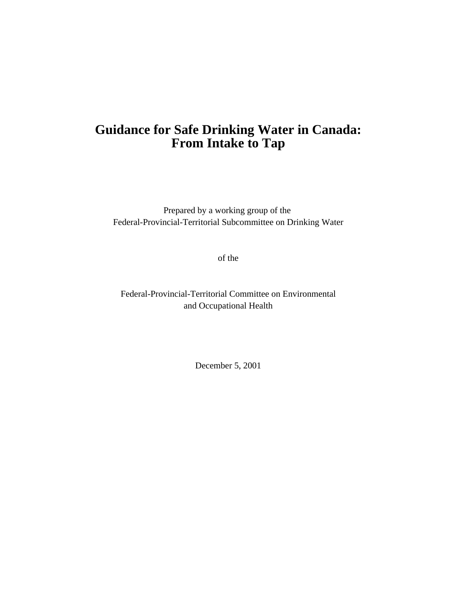# **Guidance for Safe Drinking Water in Canada: From Intake to Tap**

Prepared by a working group of the Federal-Provincial-Territorial Subcommittee on Drinking Water

of the

Federal-Provincial-Territorial Committee on Environmental and Occupational Health

December 5, 2001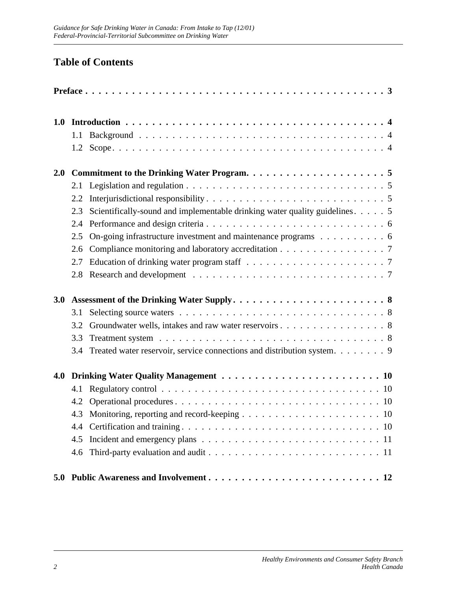# **Table of Contents**

| 1.0 | 1.1<br>1.2                             |                                                                                                                                  |
|-----|----------------------------------------|----------------------------------------------------------------------------------------------------------------------------------|
| 2.0 | 2.1<br>2.2<br>2.3                      | Scientifically-sound and implementable drinking water quality guidelines. 5                                                      |
|     | 2.4<br>2.5<br>2.6<br>2.7<br>2.8        | On-going infrastructure investment and maintenance programs 6<br>Compliance monitoring and laboratory accreditation 7            |
| 3.0 | 3.1<br>3.2<br>3.3<br>3.4               | Groundwater wells, intakes and raw water reservoirs 8<br>Treated water reservoir, service connections and distribution system. 9 |
| 4.0 | 4.1<br>4.2<br>4.3<br>4.4<br>4.5<br>4.6 |                                                                                                                                  |
|     |                                        |                                                                                                                                  |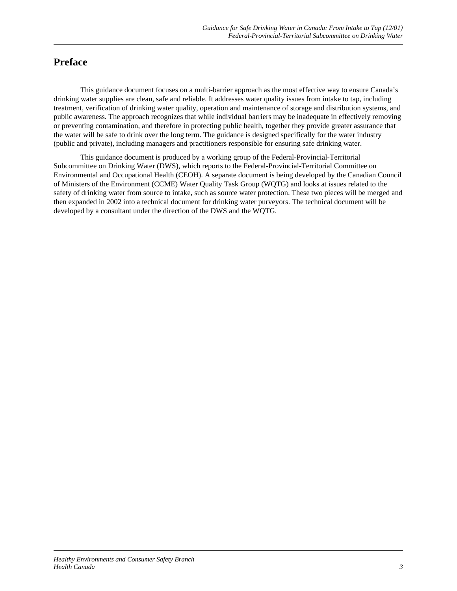# **Preface**

This guidance document focuses on a multi-barrier approach as the most effective way to ensure Canada's drinking water supplies are clean, safe and reliable. It addresses water quality issues from intake to tap, including treatment, verification of drinking water quality, operation and maintenance of storage and distribution systems, and public awareness. The approach recognizes that while individual barriers may be inadequate in effectively removing or preventing contamination, and therefore in protecting public health, together they provide greater assurance that the water will be safe to drink over the long term. The guidance is designed specifically for the water industry (public and private), including managers and practitioners responsible for ensuring safe drinking water.

This guidance document is produced by a working group of the Federal-Provincial-Territorial Subcommittee on Drinking Water (DWS), which reports to the Federal-Provincial-Territorial Committee on Environmental and Occupational Health (CEOH). A separate document is being developed by the Canadian Council of Ministers of the Environment (CCME) Water Quality Task Group (WQTG) and looks at issues related to the safety of drinking water from source to intake, such as source water protection. These two pieces will be merged and then expanded in 2002 into a technical document for drinking water purveyors. The technical document will be developed by a consultant under the direction of the DWS and the WQTG.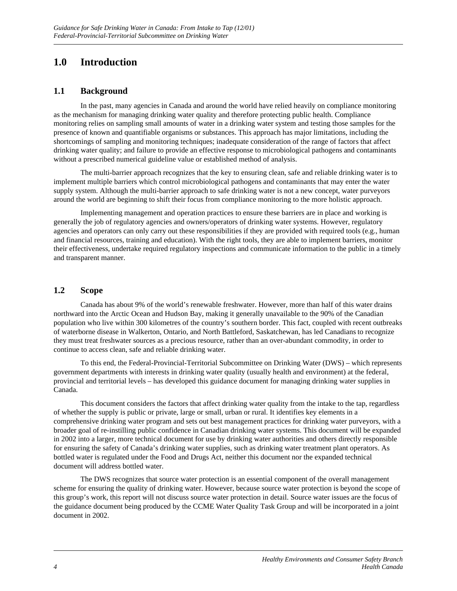# **1.0 Introduction**

### **1.1 Background**

In the past, many agencies in Canada and around the world have relied heavily on compliance monitoring as the mechanism for managing drinking water quality and therefore protecting public health. Compliance monitoring relies on sampling small amounts of water in a drinking water system and testing those samples for the presence of known and quantifiable organisms or substances. This approach has major limitations, including the shortcomings of sampling and monitoring techniques; inadequate consideration of the range of factors that affect drinking water quality; and failure to provide an effective response to microbiological pathogens and contaminants without a prescribed numerical guideline value or established method of analysis.

The multi-barrier approach recognizes that the key to ensuring clean, safe and reliable drinking water is to implement multiple barriers which control microbiological pathogens and contaminants that may enter the water supply system. Although the multi-barrier approach to safe drinking water is not a new concept, water purveyors around the world are beginning to shift their focus from compliance monitoring to the more holistic approach.

Implementing management and operation practices to ensure these barriers are in place and working is generally the job of regulatory agencies and owners/operators of drinking water systems. However, regulatory agencies and operators can only carry out these responsibilities if they are provided with required tools (e.g., human and financial resources, training and education). With the right tools, they are able to implement barriers, monitor their effectiveness, undertake required regulatory inspections and communicate information to the public in a timely and transparent manner.

### **1.2 Scope**

Canada has about 9% of the world's renewable freshwater. However, more than half of this water drains northward into the Arctic Ocean and Hudson Bay, making it generally unavailable to the 90% of the Canadian population who live within 300 kilometres of the country's southern border. This fact, coupled with recent outbreaks of waterborne disease in Walkerton, Ontario, and North Battleford, Saskatchewan, has led Canadians to recognize they must treat freshwater sources as a precious resource, rather than an over-abundant commodity, in order to continue to access clean, safe and reliable drinking water.

To this end, the Federal-Provincial-Territorial Subcommittee on Drinking Water (DWS) – which represents government departments with interests in drinking water quality (usually health and environment) at the federal, provincial and territorial levels – has developed this guidance document for managing drinking water supplies in Canada.

This document considers the factors that affect drinking water quality from the intake to the tap, regardless of whether the supply is public or private, large or small, urban or rural. It identifies key elements in a comprehensive drinking water program and sets out best management practices for drinking water purveyors, with a broader goal of re-instilling public confidence in Canadian drinking water systems. This document will be expanded in 2002 into a larger, more technical document for use by drinking water authorities and others directly responsible for ensuring the safety of Canada's drinking water supplies, such as drinking water treatment plant operators. As bottled water is regulated under the Food and Drugs Act, neither this document nor the expanded technical document will address bottled water.

The DWS recognizes that source water protection is an essential component of the overall management scheme for ensuring the quality of drinking water. However, because source water protection is beyond the scope of this group's work, this report will not discuss source water protection in detail. Source water issues are the focus of the guidance document being produced by the CCME Water Quality Task Group and will be incorporated in a joint document in 2002.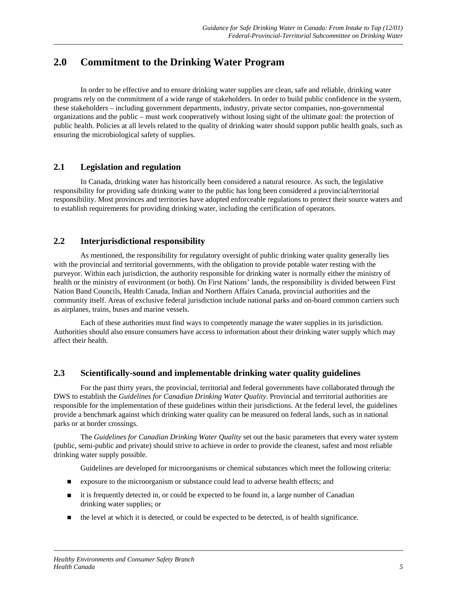# **2.0 Commitment to the Drinking Water Program**

In order to be effective and to ensure drinking water supplies are clean, safe and reliable, drinking water programs rely on the commitment of a wide range of stakeholders. In order to build public confidence in the system, these stakeholders – including government departments, industry, private sector companies, non-governmental organizations and the public – must work cooperatively without losing sight of the ultimate goal: the protection of public health. Policies at all levels related to the quality of drinking water should support public health goals, such as ensuring the microbiological safety of supplies.

### **2.1 Legislation and regulation**

In Canada, drinking water has historically been considered a natural resource. As such, the legislative responsibility for providing safe drinking water to the public has long been considered a provincial/territorial responsibility. Most provinces and territories have adopted enforceable regulations to protect their source waters and to establish requirements for providing drinking water, including the certification of operators.

### **2.2 Interjurisdictional responsibility**

As mentioned, the responsibility for regulatory oversight of public drinking water quality generally lies with the provincial and territorial governments, with the obligation to provide potable water resting with the purveyor. Within each jurisdiction, the authority responsible for drinking water is normally either the ministry of health or the ministry of environment (or both). On First Nations' lands, the responsibility is divided between First Nation Band Councils, Health Canada, Indian and Northern Affairs Canada, provincial authorities and the community itself. Areas of exclusive federal jurisdiction include national parks and on-board common carriers such as airplanes, trains, buses and marine vessels.

Each of these authorities must find ways to competently manage the water supplies in its jurisdiction. Authorities should also ensure consumers have access to information about their drinking water supply which may affect their health.

### **2.3 Scientifically-sound and implementable drinking water quality guidelines**

For the past thirty years, the provincial, territorial and federal governments have collaborated through the DWS to establish the *Guidelines for Canadian Drinking Water Quality.* Provincial and territorial authorities are responsible for the implementation of these guidelines within their jurisdictions. At the federal level, the guidelines provide a benchmark against which drinking water quality can be measured on federal lands, such as in national parks or at border crossings.

The *Guidelines for Canadian Drinking Water Quality* set out the basic parameters that every water system (public, semi-public and private) should strive to achieve in order to provide the cleanest, safest and most reliable drinking water supply possible.

Guidelines are developed for microorganisms or chemical substances which meet the following criteria:

- n exposure to the microorganism or substance could lead to adverse health effects; and
- n it is frequently detected in, or could be expected to be found in, a large number of Canadian drinking water supplies; or
- n the level at which it is detected, or could be expected to be detected, is of health significance.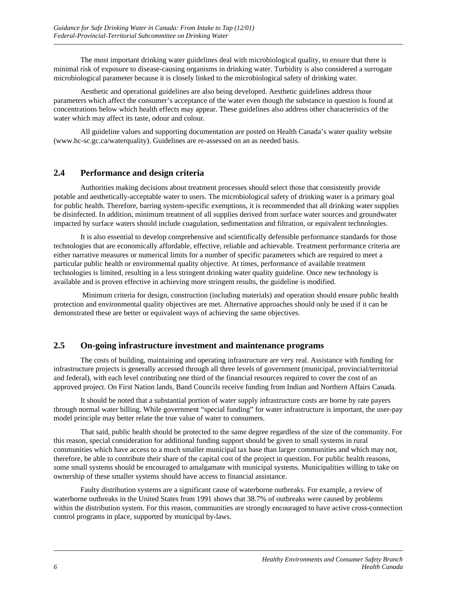The most important drinking water guidelines deal with microbiological quality, to ensure that there is minimal risk of exposure to disease-causing organisms in drinking water. Turbidity is also considered a surrogate microbiological parameter because it is closely linked to the microbiological safety of drinking water.

Aesthetic and operational guidelines are also being developed. Aesthetic guidelines address those parameters which affect the consumer's acceptance of the water even though the substance in question is found at concentrations below which health effects may appear. These guidelines also address other characteristics of the water which may affect its taste, odour and colour.

All guideline values and supporting documentation are posted on Health Canada's water quality website (www.hc-sc.gc.ca/waterquality). Guidelines are re-assessed on an as needed basis.

### **2.4 Performance and design criteria**

Authorities making decisions about treatment processes should select those that consistently provide potable and aesthetically-acceptable water to users. The microbiological safety of drinking water is a primary goal for public health. Therefore, barring system-specific exemptions, it is recommended that all drinking water supplies be disinfected. In addition, minimum treatment of all supplies derived from surface water sources and groundwater impacted by surface waters should include coagulation, sedimentation and filtration, or equivalent technologies.

It is also essential to develop comprehensive and scientifically defensible performance standards for those technologies that are economically affordable, effective, reliable and achievable. Treatment performance criteria are either narrative measures or numerical limits for a number of specific parameters which are required to meet a particular public health or environmental quality objective. At times, performance of available treatment technologies is limited, resulting in a less stringent drinking water quality guideline. Once new technology is available and is proven effective in achieving more stringent results, the guideline is modified.

 Minimum criteria for design, construction (including materials) and operation should ensure public health protection and environmental quality objectives are met. Alternative approaches should only be used if it can be demonstrated these are better or equivalent ways of achieving the same objectives.

#### **2.5 On-going infrastructure investment and maintenance programs**

The costs of building, maintaining and operating infrastructure are very real. Assistance with funding for infrastructure projects is generally accessed through all three levels of government (municipal, provincial/territorial and federal), with each level contributing one third of the financial resources required to cover the cost of an approved project. On First Nation lands, Band Councils receive funding from Indian and Northern Affairs Canada.

It should be noted that a substantial portion of water supply infrastructure costs are borne by rate payers through normal water billing. While government "special funding" for water infrastructure is important, the user-pay model principle may better relate the true value of water to consumers.

That said, public health should be protected to the same degree regardless of the size of the community. For this reason, special consideration for additional funding support should be given to small systems in rural communities which have access to a much smaller municipal tax base than larger communities and which may not, therefore, be able to contribute their share of the capital cost of the project in question. For public health reasons, some small systems should be encouraged to amalgamate with municipal systems. Municipalities willing to take on ownership of these smaller systems should have access to financial assistance.

Faulty distribution systems are a significant cause of waterborne outbreaks. For example, a review of waterborne outbreaks in the United States from 1991 shows that 38.7% of outbreaks were caused by problems within the distribution system. For this reason, communities are strongly encouraged to have active cross-connection control programs in place, supported by municipal by-laws.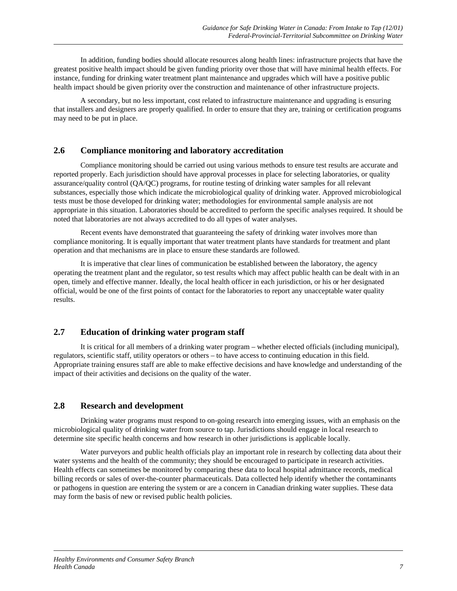In addition, funding bodies should allocate resources along health lines: infrastructure projects that have the greatest positive health impact should be given funding priority over those that will have minimal health effects. For instance, funding for drinking water treatment plant maintenance and upgrades which will have a positive public health impact should be given priority over the construction and maintenance of other infrastructure projects.

A secondary, but no less important, cost related to infrastructure maintenance and upgrading is ensuring that installers and designers are properly qualified. In order to ensure that they are, training or certification programs may need to be put in place.

#### **2.6 Compliance monitoring and laboratory accreditation**

Compliance monitoring should be carried out using various methods to ensure test results are accurate and reported properly. Each jurisdiction should have approval processes in place for selecting laboratories, or quality assurance/quality control (QA/QC) programs, for routine testing of drinking water samples for all relevant substances, especially those which indicate the microbiological quality of drinking water. Approved microbiological tests must be those developed for drinking water; methodologies for environmental sample analysis are not appropriate in this situation. Laboratories should be accredited to perform the specific analyses required. It should be noted that laboratories are not always accredited to do all types of water analyses.

Recent events have demonstrated that guaranteeing the safety of drinking water involves more than compliance monitoring. It is equally important that water treatment plants have standards for treatment and plant operation and that mechanisms are in place to ensure these standards are followed.

It is imperative that clear lines of communication be established between the laboratory, the agency operating the treatment plant and the regulator, so test results which may affect public health can be dealt with in an open, timely and effective manner. Ideally, the local health officer in each jurisdiction, or his or her designated official, would be one of the first points of contact for the laboratories to report any unacceptable water quality results.

### **2.7 Education of drinking water program staff**

It is critical for all members of a drinking water program – whether elected officials (including municipal), regulators, scientific staff, utility operators or others – to have access to continuing education in this field. Appropriate training ensures staff are able to make effective decisions and have knowledge and understanding of the impact of their activities and decisions on the quality of the water.

### **2.8 Research and development**

Drinking water programs must respond to on-going research into emerging issues, with an emphasis on the microbiological quality of drinking water from source to tap. Jurisdictions should engage in local research to determine site specific health concerns and how research in other jurisdictions is applicable locally.

Water purveyors and public health officials play an important role in research by collecting data about their water systems and the health of the community; they should be encouraged to participate in research activities. Health effects can sometimes be monitored by comparing these data to local hospital admittance records, medical billing records or sales of over-the-counter pharmaceuticals. Data collected help identify whether the contaminants or pathogens in question are entering the system or are a concern in Canadian drinking water supplies. These data may form the basis of new or revised public health policies.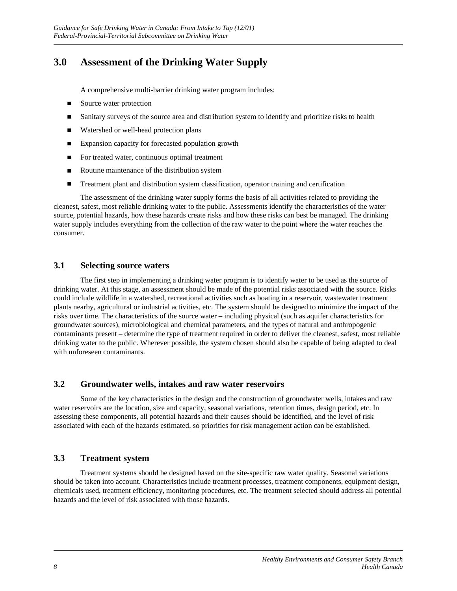# **3.0 Assessment of the Drinking Water Supply**

A comprehensive multi-barrier drinking water program includes:

- Source water protection
- n Sanitary surveys of the source area and distribution system to identify and prioritize risks to health
- Watershed or well-head protection plans
- Expansion capacity for forecasted population growth
- For treated water, continuous optimal treatment
- $\blacksquare$  Routine maintenance of the distribution system
- **n** Treatment plant and distribution system classification, operator training and certification

The assessment of the drinking water supply forms the basis of all activities related to providing the cleanest, safest, most reliable drinking water to the public. Assessments identify the characteristics of the water source, potential hazards, how these hazards create risks and how these risks can best be managed. The drinking water supply includes everything from the collection of the raw water to the point where the water reaches the consumer.

#### **3.1 Selecting source waters**

The first step in implementing a drinking water program is to identify water to be used as the source of drinking water. At this stage, an assessment should be made of the potential risks associated with the source. Risks could include wildlife in a watershed, recreational activities such as boating in a reservoir, wastewater treatment plants nearby, agricultural or industrial activities, etc. The system should be designed to minimize the impact of the risks over time. The characteristics of the source water – including physical (such as aquifer characteristics for groundwater sources), microbiological and chemical parameters, and the types of natural and anthropogenic contaminants present – determine the type of treatment required in order to deliver the cleanest, safest, most reliable drinking water to the public. Wherever possible, the system chosen should also be capable of being adapted to deal with unforeseen contaminants.

#### **3.2 Groundwater wells, intakes and raw water reservoirs**

Some of the key characteristics in the design and the construction of groundwater wells, intakes and raw water reservoirs are the location, size and capacity, seasonal variations, retention times, design period, etc. In assessing these components, all potential hazards and their causes should be identified, and the level of risk associated with each of the hazards estimated, so priorities for risk management action can be established.

### **3.3 Treatment system**

Treatment systems should be designed based on the site-specific raw water quality. Seasonal variations should be taken into account. Characteristics include treatment processes, treatment components, equipment design, chemicals used, treatment efficiency, monitoring procedures, etc. The treatment selected should address all potential hazards and the level of risk associated with those hazards.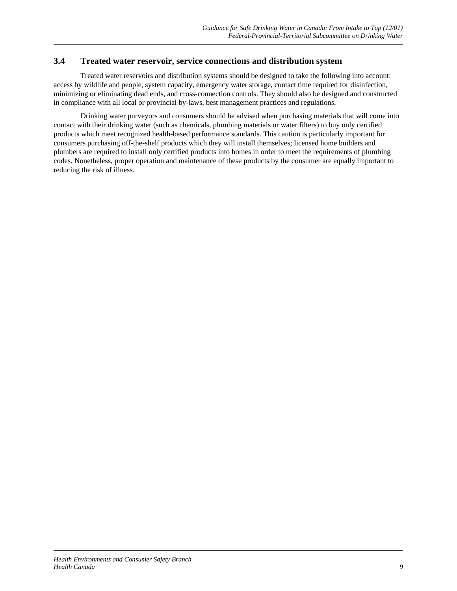### **3.4 Treated water reservoir, service connections and distribution system**

Treated water reservoirs and distribution systems should be designed to take the following into account: access by wildlife and people, system capacity, emergency water storage, contact time required for disinfection, minimizing or eliminating dead ends, and cross-connection controls. They should also be designed and constructed in compliance with all local or provincial by-laws, best management practices and regulations.

Drinking water purveyors and consumers should be advised when purchasing materials that will come into contact with their drinking water (such as chemicals, plumbing materials or water filters) to buy only certified products which meet recognized health-based performance standards. This caution is particularly important for consumers purchasing off-the-shelf products which they will install themselves; licensed home builders and plumbers are required to install only certified products into homes in order to meet the requirements of plumbing codes. Nonetheless, proper operation and maintenance of these products by the consumer are equally important to reducing the risk of illness.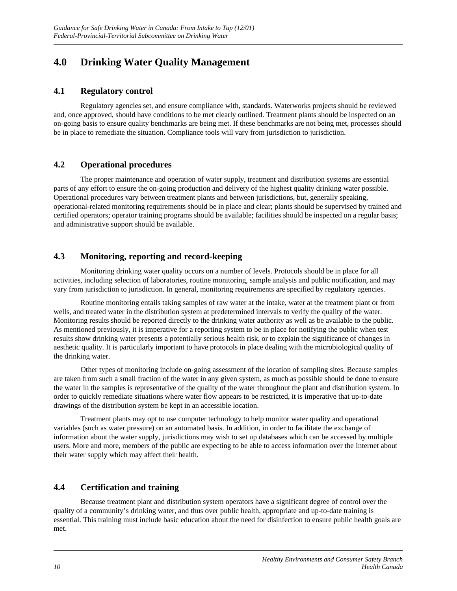# **4.0 Drinking Water Quality Management**

### **4.1 Regulatory control**

Regulatory agencies set, and ensure compliance with, standards. Waterworks projects should be reviewed and, once approved, should have conditions to be met clearly outlined. Treatment plants should be inspected on an on-going basis to ensure quality benchmarks are being met. If these benchmarks are not being met, processes should be in place to remediate the situation. Compliance tools will vary from jurisdiction to jurisdiction.

### **4.2 Operational procedures**

The proper maintenance and operation of water supply, treatment and distribution systems are essential parts of any effort to ensure the on-going production and delivery of the highest quality drinking water possible. Operational procedures vary between treatment plants and between jurisdictions, but, generally speaking, operational-related monitoring requirements should be in place and clear; plants should be supervised by trained and certified operators; operator training programs should be available; facilities should be inspected on a regular basis; and administrative support should be available.

### **4.3 Monitoring, reporting and record-keeping**

Monitoring drinking water quality occurs on a number of levels. Protocols should be in place for all activities, including selection of laboratories, routine monitoring, sample analysis and public notification, and may vary from jurisdiction to jurisdiction. In general, monitoring requirements are specified by regulatory agencies.

Routine monitoring entails taking samples of raw water at the intake, water at the treatment plant or from wells, and treated water in the distribution system at predetermined intervals to verify the quality of the water. Monitoring results should be reported directly to the drinking water authority as well as be available to the public. As mentioned previously, it is imperative for a reporting system to be in place for notifying the public when test results show drinking water presents a potentially serious health risk, or to explain the significance of changes in aesthetic quality. It is particularly important to have protocols in place dealing with the microbiological quality of the drinking water.

Other types of monitoring include on-going assessment of the location of sampling sites. Because samples are taken from such a small fraction of the water in any given system, as much as possible should be done to ensure the water in the samples is representative of the quality of the water throughout the plant and distribution system. In order to quickly remediate situations where water flow appears to be restricted, it is imperative that up-to-date drawings of the distribution system be kept in an accessible location.

Treatment plants may opt to use computer technology to help monitor water quality and operational variables (such as water pressure) on an automated basis. In addition, in order to facilitate the exchange of information about the water supply, jurisdictions may wish to set up databases which can be accessed by multiple users. More and more, members of the public are expecting to be able to access information over the Internet about their water supply which may affect their health.

### **4.4 Certification and training**

Because treatment plant and distribution system operators have a significant degree of control over the quality of a community's drinking water, and thus over public health, appropriate and up-to-date training is essential. This training must include basic education about the need for disinfection to ensure public health goals are met.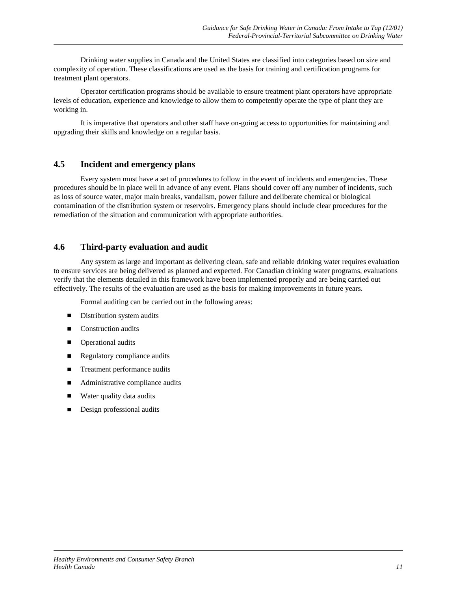Drinking water supplies in Canada and the United States are classified into categories based on size and complexity of operation. These classifications are used as the basis for training and certification programs for treatment plant operators.

Operator certification programs should be available to ensure treatment plant operators have appropriate levels of education, experience and knowledge to allow them to competently operate the type of plant they are working in.

It is imperative that operators and other staff have on-going access to opportunities for maintaining and upgrading their skills and knowledge on a regular basis.

#### **4.5 Incident and emergency plans**

Every system must have a set of procedures to follow in the event of incidents and emergencies. These procedures should be in place well in advance of any event. Plans should cover off any number of incidents, such as loss of source water, major main breaks, vandalism, power failure and deliberate chemical or biological contamination of the distribution system or reservoirs. Emergency plans should include clear procedures for the remediation of the situation and communication with appropriate authorities.

#### **4.6 Third-party evaluation and audit**

Any system as large and important as delivering clean, safe and reliable drinking water requires evaluation to ensure services are being delivered as planned and expected. For Canadian drinking water programs, evaluations verify that the elements detailed in this framework have been implemented properly and are being carried out effectively. The results of the evaluation are used as the basis for making improvements in future years.

Formal auditing can be carried out in the following areas:

- Distribution system audits
- Construction audits
- **n** Operational audits
- **n** Regulatory compliance audits
- Treatment performance audits
- $\blacksquare$  Administrative compliance audits
- Water quality data audits
- Design professional audits